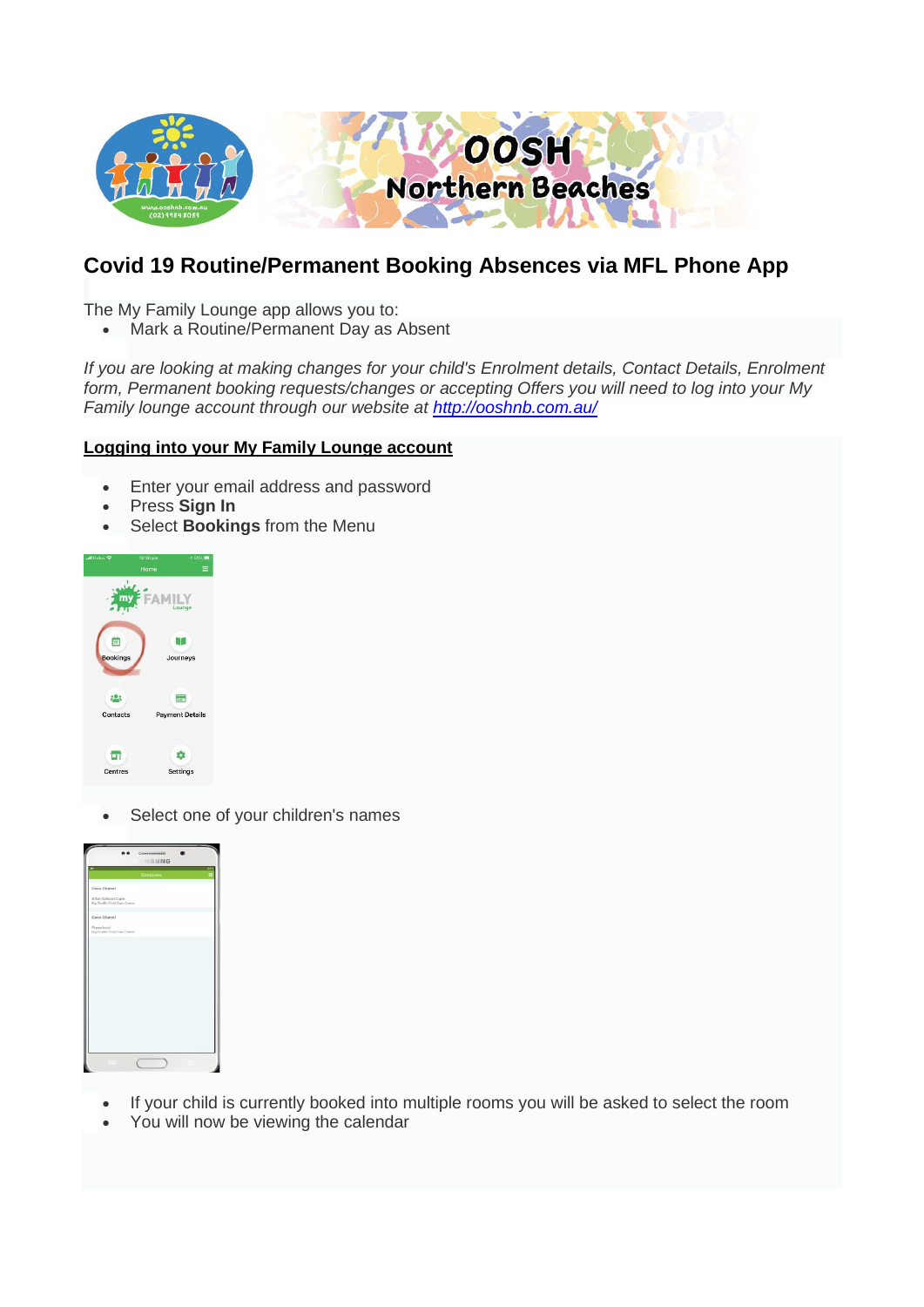

# **Covid 19 Routine/Permanent Booking Absences via MFL Phone App**

The My Family Lounge app allows you to:

• Mark a Routine/Permanent Day as Absent

*If you are looking at making changes for your child's Enrolment details, Contact Details, Enrolment form, Permanent booking requests/changes or accepting Offers you will need to log into your My Family lounge account through our website at <http://ooshnb.com.au/>*

## **Logging into your My Family Lounge account**

- Enter your email address and password
- Press **Sign In**
- Select **Bookings** from the Menu



• Select one of your children's names



- If your child is currently booked into multiple rooms you will be asked to select the room
- You will now be viewing the calendar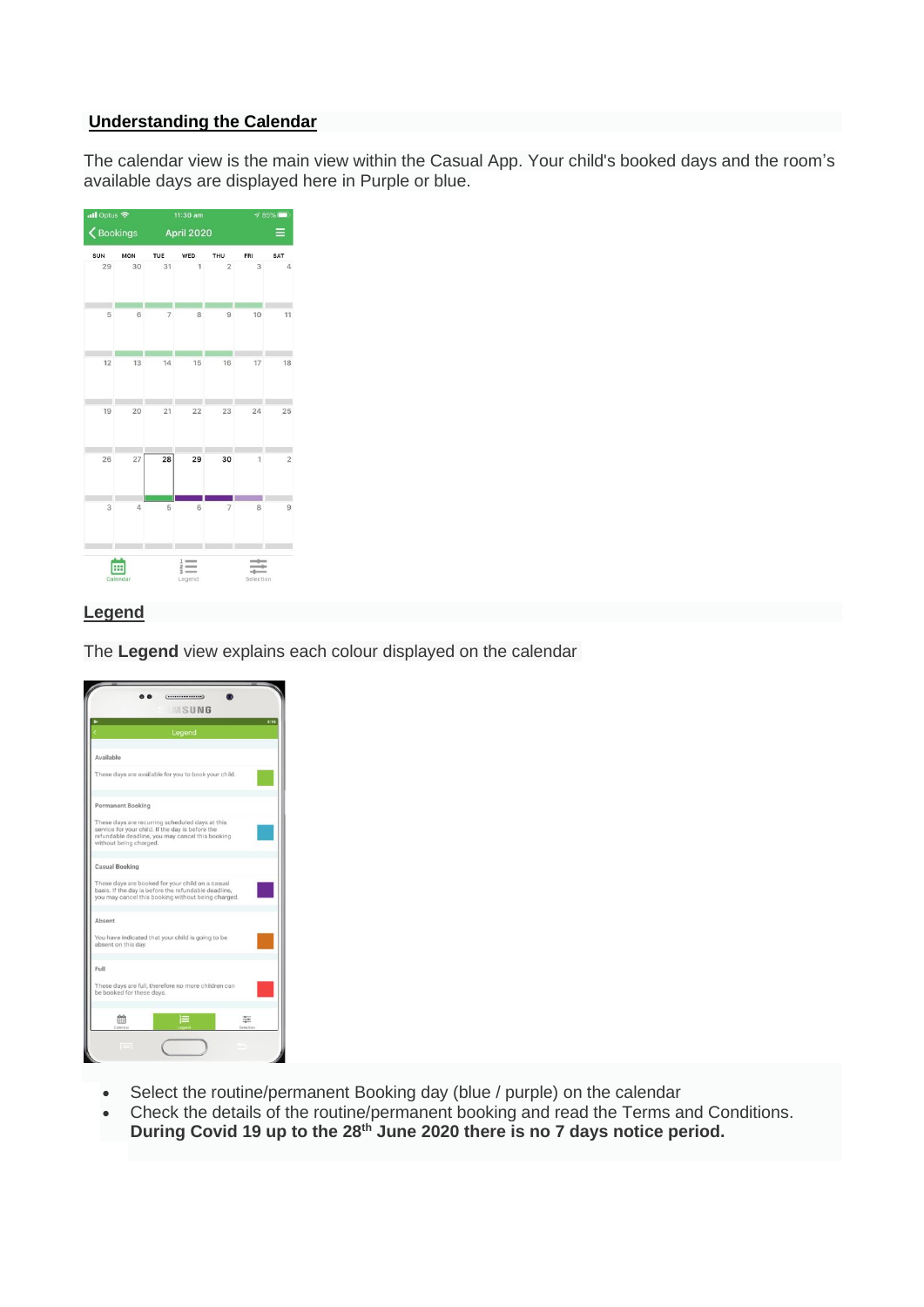#### **Understanding the Calendar**

The calendar view is the main view within the Casual App. Your child's booked days and the room's available days are displayed here in Purple or blue.



## **Legend**

The **Legend** view explains each colour displayed on the calendar

|                                                                                                                                                                                   | Legend |  |  |
|-----------------------------------------------------------------------------------------------------------------------------------------------------------------------------------|--------|--|--|
|                                                                                                                                                                                   |        |  |  |
| Available                                                                                                                                                                         |        |  |  |
| These days are available for you to book your child.                                                                                                                              |        |  |  |
| Permanent Booking                                                                                                                                                                 |        |  |  |
| These days are recurring scheduled days at this<br>service for your child. If the day is before the<br>refundable deadline, you may cancel this booking<br>without being charged. |        |  |  |
| Casual Booking                                                                                                                                                                    |        |  |  |
| These days are booked for your child on a casual<br>basis. If the day is before the refundable deadline,<br>you may cancel this booking without being charged.                    |        |  |  |
| Absent                                                                                                                                                                            |        |  |  |
| You have indicated that your child is going to be<br>absent on this day.                                                                                                          |        |  |  |
| Full                                                                                                                                                                              |        |  |  |
| These days are full, therefore no more children can<br>be booked for these days.                                                                                                  |        |  |  |
|                                                                                                                                                                                   |        |  |  |

- Select the routine/permanent Booking day (blue / purple) on the calendar
- Check the details of the routine/permanent booking and read the Terms and Conditions. **During Covid 19 up to the 28th June 2020 there is no 7 days notice period.**